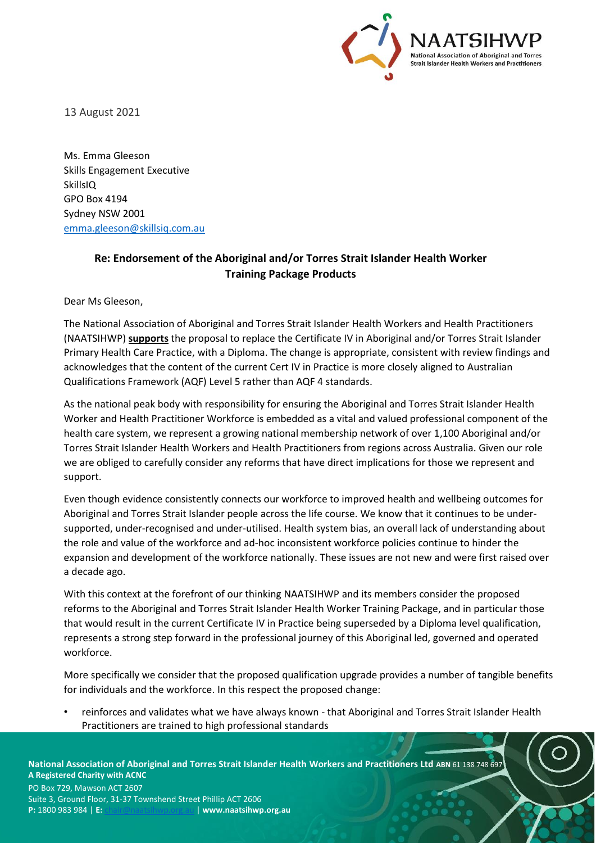

13 August 2021

Ms. Emma Gleeson Skills Engagement Executive **SkillsIQ** GPO Box 4194 Sydney NSW 2001 [emma.gleeson@skillsiq.com.au](mailto:emma.gleeson@skillsiq.com.au)

## **Re: Endorsement of the Aboriginal and/or Torres Strait Islander Health Worker Training Package Products**

Dear Ms Gleeson,

The National Association of Aboriginal and Torres Strait Islander Health Workers and Health Practitioners (NAATSIHWP) **supports** the proposal to replace the Certificate IV in Aboriginal and/or Torres Strait Islander Primary Health Care Practice, with a Diploma. The change is appropriate, consistent with review findings and acknowledges that the content of the current Cert IV in Practice is more closely aligned to Australian Qualifications Framework (AQF) Level 5 rather than AQF 4 standards.

As the national peak body with responsibility for ensuring the Aboriginal and Torres Strait Islander Health Worker and Health Practitioner Workforce is embedded as a vital and valued professional component of the health care system, we represent a growing national membership network of over 1,100 Aboriginal and/or Torres Strait Islander Health Workers and Health Practitioners from regions across Australia. Given our role we are obliged to carefully consider any reforms that have direct implications for those we represent and support.

Even though evidence consistently connects our workforce to improved health and wellbeing outcomes for Aboriginal and Torres Strait Islander people across the life course. We know that it continues to be undersupported, under-recognised and under-utilised. Health system bias, an overall lack of understanding about the role and value of the workforce and ad-hoc inconsistent workforce policies continue to hinder the expansion and development of the workforce nationally. These issues are not new and were first raised over a decade ago.

With this context at the forefront of our thinking NAATSIHWP and its members consider the proposed reforms to the Aboriginal and Torres Strait Islander Health Worker Training Package, and in particular those that would result in the current Certificate IV in Practice being superseded by a Diploma level qualification, represents a strong step forward in the professional journey of this Aboriginal led, governed and operated workforce.

More specifically we consider that the proposed qualification upgrade provides a number of tangible benefits for individuals and the workforce. In this respect the proposed change:

• reinforces and validates what we have always known - that Aboriginal and Torres Strait Islander Health Practitioners are trained to high professional standards

**National Association of Aboriginal and Torres Strait Islander Health Workers and Practitioners Ltd ABN** 61 138 748 697 **A Registered Charity with ACNC** 

PO Box 729, Mawson ACT 2607 Suite 3, Ground Floor, 31-37 Townshend Street Phillip ACT 2606 **P:** 1800 983 984 | **E:** [chair@naatsihwp.org.au](mailto:chair@naatsihwp.org.au) | **www.naatsihwp.org.au**